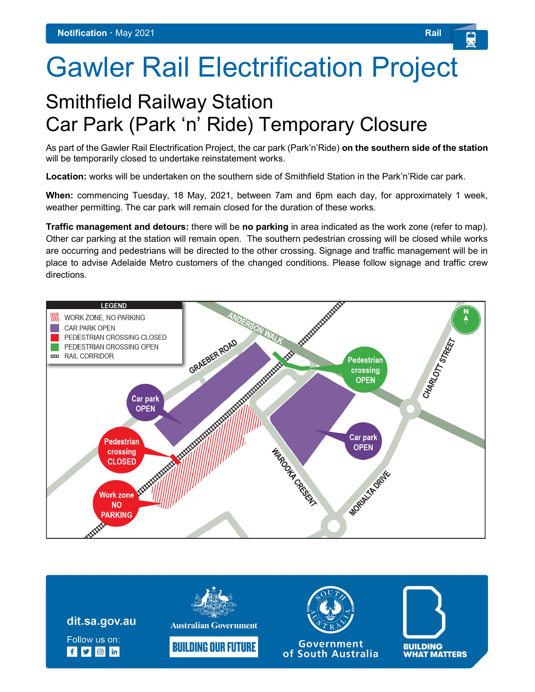## Gawler Rail Electrification Project

## Smithfield Railway Station Car Park (Park 'n' Ride) Temporary Closure

As part of the Gawler Rail Electrification Project, the car park (Park'n'Ride) on the southern side of the station will be temporarily closed to undertake reinstatement works.

Location: works will be undertaken on the southern side of Smithfield Station in the Park'n'Ride car park.

When: commencing Tuesday, 18 May, 2021, between 7am and 6pm each day, for approximately 1 week, weather permitting. The car park will remain closed for the duration of these works.

Traffic management and detours: there will be no parking in area indicated as the work zone (refer to map). Other car parking at the station will remain open. The southern pedestrian crossing will be closed while works are occurring and pedestrians will be directed to the other crossing. Signage and traffic management will be in place to advise Adelaide Metro customers of the changed conditions. Please follow signage and traffic crew directions.